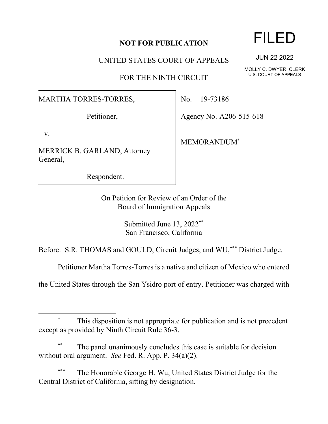## **NOT FOR PUBLICATION**

UNITED STATES COURT OF APPEALS

FOR THE NINTH CIRCUIT

MARTHA TORRES-TORRES,

Petitioner,

v.

MERRICK B. GARLAND, Attorney General,

Respondent.

No. 19-73186

Agency No. A206-515-618

MEMORANDUM\*

On Petition for Review of an Order of the Board of Immigration Appeals

> Submitted June 13, 2022\*\* San Francisco, California

Before: S.R. THOMAS and GOULD, Circuit Judges, and WU,\*\*\* District Judge.

Petitioner Martha Torres-Torres is a native and citizen of Mexico who entered

the United States through the San Ysidro port of entry. Petitioner was charged with

The panel unanimously concludes this case is suitable for decision without oral argument. *See* Fed. R. App. P. 34(a)(2).

The Honorable George H. Wu, United States District Judge for the Central District of California, sitting by designation.

## FILED

JUN 22 2022

MOLLY C. DWYER, CLERK U.S. COURT OF APPEALS

This disposition is not appropriate for publication and is not precedent except as provided by Ninth Circuit Rule 36-3.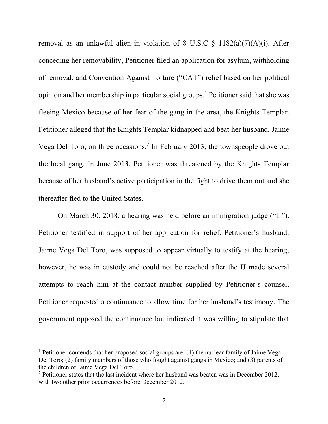removal as an unlawful alien in violation of 8 U.S.C  $\S$  1182(a)(7)(A)(i). After conceding her removability, Petitioner filed an application for asylum, withholding of removal, and Convention Against Torture ("CAT") relief based on her political opinion and her membership in particular social groups. <sup>1</sup> Petitioner said that she was fleeing Mexico because of her fear of the gang in the area, the Knights Templar. Petitioner alleged that the Knights Templar kidnapped and beat her husband, Jaime Vega Del Toro, on three occasions.<sup>2</sup> In February 2013, the townspeople drove out the local gang. In June 2013, Petitioner was threatened by the Knights Templar because of her husband's active participation in the fight to drive them out and she thereafter fled to the United States.

On March 30, 2018, a hearing was held before an immigration judge ("IJ"). Petitioner testified in support of her application for relief. Petitioner's husband, Jaime Vega Del Toro, was supposed to appear virtually to testify at the hearing, however, he was in custody and could not be reached after the IJ made several attempts to reach him at the contact number supplied by Petitioner's counsel. Petitioner requested a continuance to allow time for her husband's testimony. The government opposed the continuance but indicated it was willing to stipulate that

<sup>&</sup>lt;sup>1</sup> Petitioner contends that her proposed social groups are: (1) the nuclear family of Jaime Vega Del Toro; (2) family members of those who fought against gangs in Mexico; and (3) parents of the children of Jaime Vega Del Toro.

 $2$  Petitioner states that the last incident where her husband was beaten was in December 2012, with two other prior occurrences before December 2012.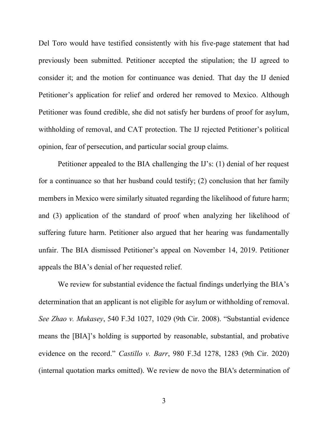Del Toro would have testified consistently with his five-page statement that had previously been submitted. Petitioner accepted the stipulation; the IJ agreed to consider it; and the motion for continuance was denied. That day the IJ denied Petitioner's application for relief and ordered her removed to Mexico. Although Petitioner was found credible, she did not satisfy her burdens of proof for asylum, withholding of removal, and CAT protection. The IJ rejected Petitioner's political opinion, fear of persecution, and particular social group claims.

Petitioner appealed to the BIA challenging the IJ's: (1) denial of her request for a continuance so that her husband could testify; (2) conclusion that her family members in Mexico were similarly situated regarding the likelihood of future harm; and (3) application of the standard of proof when analyzing her likelihood of suffering future harm. Petitioner also argued that her hearing was fundamentally unfair. The BIA dismissed Petitioner's appeal on November 14, 2019. Petitioner appeals the BIA's denial of her requested relief.

We review for substantial evidence the factual findings underlying the BIA's determination that an applicant is not eligible for asylum or withholding of removal. *See Zhao v. Mukasey*, 540 F.3d 1027, 1029 (9th Cir. 2008). "Substantial evidence means the [BIA]'s holding is supported by reasonable, substantial, and probative evidence on the record." *Castillo v. Barr*, 980 F.3d 1278, 1283 (9th Cir. 2020) (internal quotation marks omitted). We review de novo the BIA's determination of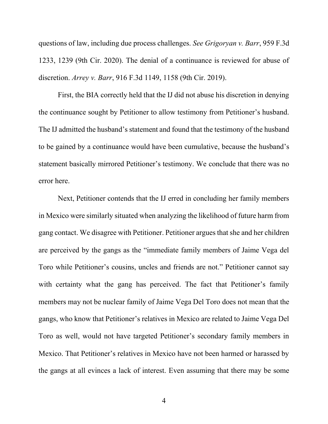questions of law, including due process challenges. *See Grigoryan v. Barr*, 959 F.3d 1233, 1239 (9th Cir. 2020). The denial of a continuance is reviewed for abuse of discretion. *Arrey v. Barr*, 916 F.3d 1149, 1158 (9th Cir. 2019).

First, the BIA correctly held that the IJ did not abuse his discretion in denying the continuance sought by Petitioner to allow testimony from Petitioner's husband. The IJ admitted the husband's statement and found that the testimony of the husband to be gained by a continuance would have been cumulative, because the husband's statement basically mirrored Petitioner's testimony. We conclude that there was no error here.

Next, Petitioner contends that the IJ erred in concluding her family members in Mexico were similarly situated when analyzing the likelihood of future harm from gang contact. We disagree with Petitioner. Petitioner argues that she and her children are perceived by the gangs as the "immediate family members of Jaime Vega del Toro while Petitioner's cousins, uncles and friends are not." Petitioner cannot say with certainty what the gang has perceived. The fact that Petitioner's family members may not be nuclear family of Jaime Vega Del Toro does not mean that the gangs, who know that Petitioner's relatives in Mexico are related to Jaime Vega Del Toro as well, would not have targeted Petitioner's secondary family members in Mexico. That Petitioner's relatives in Mexico have not been harmed or harassed by the gangs at all evinces a lack of interest. Even assuming that there may be some